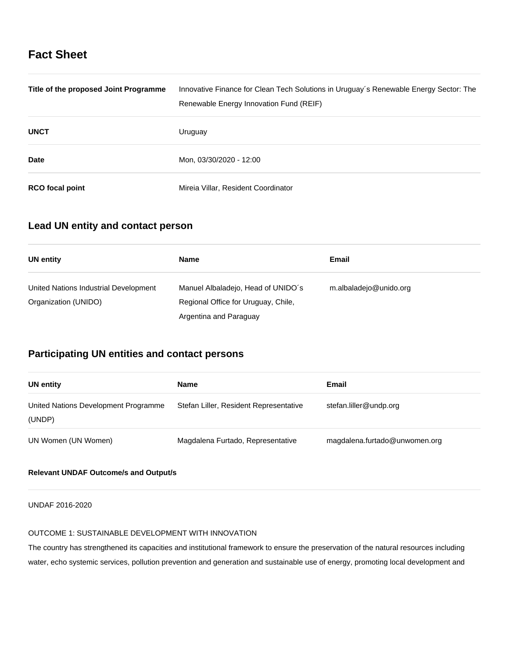# **Fact Sheet**

| Title of the proposed Joint Programme | Innovative Finance for Clean Tech Solutions in Uruguay's Renewable Energy Sector: The<br>Renewable Energy Innovation Fund (REIF) |
|---------------------------------------|----------------------------------------------------------------------------------------------------------------------------------|
| <b>UNCT</b>                           | Uruguay                                                                                                                          |
| <b>Date</b>                           | Mon, 03/30/2020 - 12:00                                                                                                          |
| <b>RCO</b> focal point                | Mireia Villar, Resident Coordinator                                                                                              |

## **Lead UN entity and contact person**

| UN entity                                                     | <b>Name</b>                                                               | Email                  |
|---------------------------------------------------------------|---------------------------------------------------------------------------|------------------------|
| United Nations Industrial Development<br>Organization (UNIDO) | Manuel Albaladejo, Head of UNIDO's<br>Regional Office for Uruguay, Chile, | m.albaladejo@unido.org |
|                                                               | Argentina and Paraguay                                                    |                        |

## **Participating UN entities and contact persons**

| UN entity                                      | <b>Name</b>                            | Email                         |
|------------------------------------------------|----------------------------------------|-------------------------------|
| United Nations Development Programme<br>(UNDP) | Stefan Liller, Resident Representative | stefan.liller@undp.org        |
| UN Women (UN Women)                            | Magdalena Furtado, Representative      | magdalena.furtado@unwomen.org |

## **Relevant UNDAF Outcome/s and Output/s**

UNDAF 2016-2020

### OUTCOME 1: SUSTAINABLE DEVELOPMENT WITH INNOVATION

The country has strengthened its capacities and institutional framework to ensure the preservation of the natural resources including water, echo systemic services, pollution prevention and generation and sustainable use of energy, promoting local development and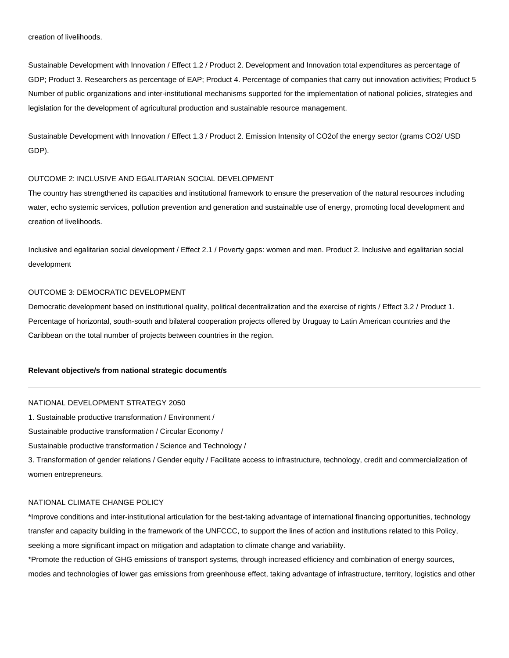creation of livelihoods.

Sustainable Development with Innovation / Effect 1.2 / Product 2. Development and Innovation total expenditures as percentage of GDP; Product 3. Researchers as percentage of EAP; Product 4. Percentage of companies that carry out innovation activities; Product 5 Number of public organizations and inter-institutional mechanisms supported for the implementation of national policies, strategies and legislation for the development of agricultural production and sustainable resource management.

Sustainable Development with Innovation / Effect 1.3 / Product 2. Emission Intensity of CO2of the energy sector (grams CO2/ USD GDP).

### OUTCOME 2: INCLUSIVE AND EGALITARIAN SOCIAL DEVELOPMENT

The country has strengthened its capacities and institutional framework to ensure the preservation of the natural resources including water, echo systemic services, pollution prevention and generation and sustainable use of energy, promoting local development and creation of livelihoods.

Inclusive and egalitarian social development / Effect 2.1 / Poverty gaps: women and men. Product 2. Inclusive and egalitarian social development

### OUTCOME 3: DEMOCRATIC DEVELOPMENT

Democratic development based on institutional quality, political decentralization and the exercise of rights / Effect 3.2 / Product 1. Percentage of horizontal, south-south and bilateral cooperation projects offered by Uruguay to Latin American countries and the Caribbean on the total number of projects between countries in the region.

#### **Relevant objective/s from national strategic document/s**

#### NATIONAL DEVELOPMENT STRATEGY 2050

1. Sustainable productive transformation / Environment /

Sustainable productive transformation / Circular Economy /

Sustainable productive transformation / Science and Technology /

3. Transformation of gender relations / Gender equity / Facilitate access to infrastructure, technology, credit and commercialization of women entrepreneurs.

### NATIONAL CLIMATE CHANGE POLICY

\*Improve conditions and inter-institutional articulation for the best-taking advantage of international financing opportunities, technology transfer and capacity building in the framework of the UNFCCC, to support the lines of action and institutions related to this Policy, seeking a more significant impact on mitigation and adaptation to climate change and variability.

\*Promote the reduction of GHG emissions of transport systems, through increased efficiency and combination of energy sources, modes and technologies of lower gas emissions from greenhouse effect, taking advantage of infrastructure, territory, logistics and other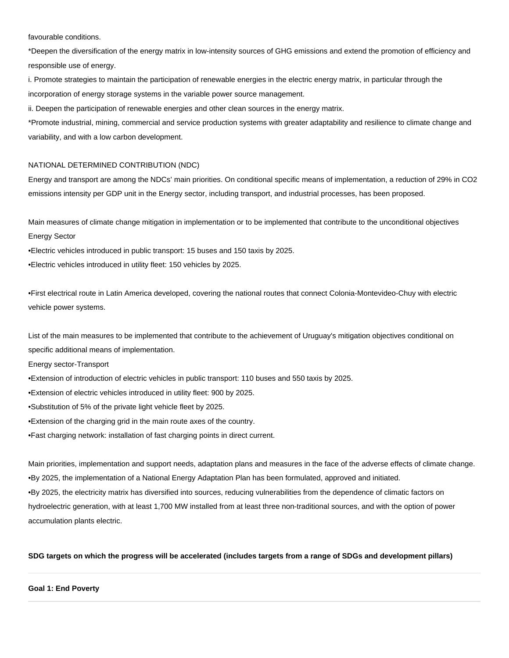favourable conditions.

\*Deepen the diversification of the energy matrix in low-intensity sources of GHG emissions and extend the promotion of efficiency and responsible use of energy.

i. Promote strategies to maintain the participation of renewable energies in the electric energy matrix, in particular through the incorporation of energy storage systems in the variable power source management.

ii. Deepen the participation of renewable energies and other clean sources in the energy matrix.

\*Promote industrial, mining, commercial and service production systems with greater adaptability and resilience to climate change and variability, and with a low carbon development.

#### NATIONAL DETERMINED CONTRIBUTION (NDC)

Energy and transport are among the NDCs' main priorities. On conditional specific means of implementation, a reduction of 29% in CO2 emissions intensity per GDP unit in the Energy sector, including transport, and industrial processes, has been proposed.

Main measures of climate change mitigation in implementation or to be implemented that contribute to the unconditional objectives Energy Sector

•Electric vehicles introduced in public transport: 15 buses and 150 taxis by 2025.

•Electric vehicles introduced in utility fleet: 150 vehicles by 2025.

•First electrical route in Latin America developed, covering the national routes that connect Colonia-Montevideo-Chuy with electric vehicle power systems.

List of the main measures to be implemented that contribute to the achievement of Uruguay's mitigation objectives conditional on specific additional means of implementation.

Energy sector-Transport

•Extension of introduction of electric vehicles in public transport: 110 buses and 550 taxis by 2025.

•Extension of electric vehicles introduced in utility fleet: 900 by 2025.

•Substitution of 5% of the private light vehicle fleet by 2025.

•Extension of the charging grid in the main route axes of the country.

•Fast charging network: installation of fast charging points in direct current.

Main priorities, implementation and support needs, adaptation plans and measures in the face of the adverse effects of climate change. •By 2025, the implementation of a National Energy Adaptation Plan has been formulated, approved and initiated. •By 2025, the electricity matrix has diversified into sources, reducing vulnerabilities from the dependence of climatic factors on hydroelectric generation, with at least 1,700 MW installed from at least three non-traditional sources, and with the option of power accumulation plants electric.

### **SDG targets on which the progress will be accelerated (includes targets from a range of SDGs and development pillars)**

### **Goal 1: End Poverty**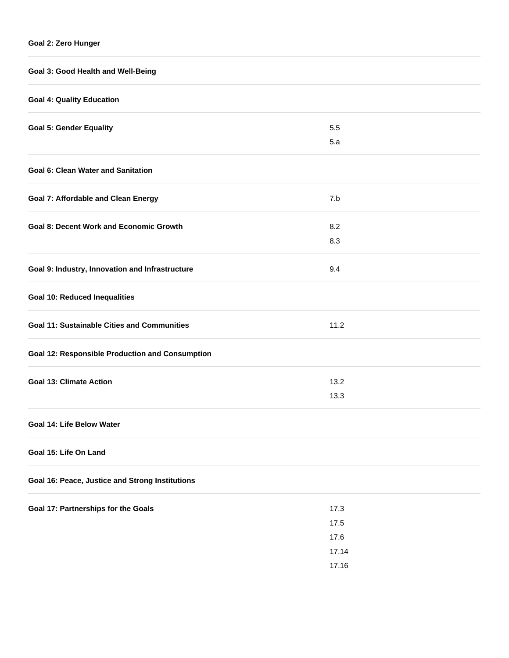| Goal 3: Good Health and Well-Being                     |                |  |  |  |
|--------------------------------------------------------|----------------|--|--|--|
| <b>Goal 4: Quality Education</b>                       |                |  |  |  |
| <b>Goal 5: Gender Equality</b>                         | 5.5            |  |  |  |
|                                                        | 5.a            |  |  |  |
| <b>Goal 6: Clean Water and Sanitation</b>              |                |  |  |  |
| <b>Goal 7: Affordable and Clean Energy</b>             | 7.b            |  |  |  |
| <b>Goal 8: Decent Work and Economic Growth</b>         | 8.2            |  |  |  |
|                                                        | 8.3            |  |  |  |
| Goal 9: Industry, Innovation and Infrastructure        | 9.4            |  |  |  |
| <b>Goal 10: Reduced Inequalities</b>                   |                |  |  |  |
| <b>Goal 11: Sustainable Cities and Communities</b>     | 11.2           |  |  |  |
| <b>Goal 12: Responsible Production and Consumption</b> |                |  |  |  |
| <b>Goal 13: Climate Action</b>                         | 13.2           |  |  |  |
|                                                        | 13.3           |  |  |  |
| Goal 14: Life Below Water                              |                |  |  |  |
| Goal 15: Life On Land                                  |                |  |  |  |
| Goal 16: Peace, Justice and Strong Institutions        |                |  |  |  |
| Goal 17: Partnerships for the Goals                    | 17.3           |  |  |  |
|                                                        | 17.5           |  |  |  |
|                                                        | 17.6           |  |  |  |
|                                                        | 17.14<br>17.16 |  |  |  |
|                                                        |                |  |  |  |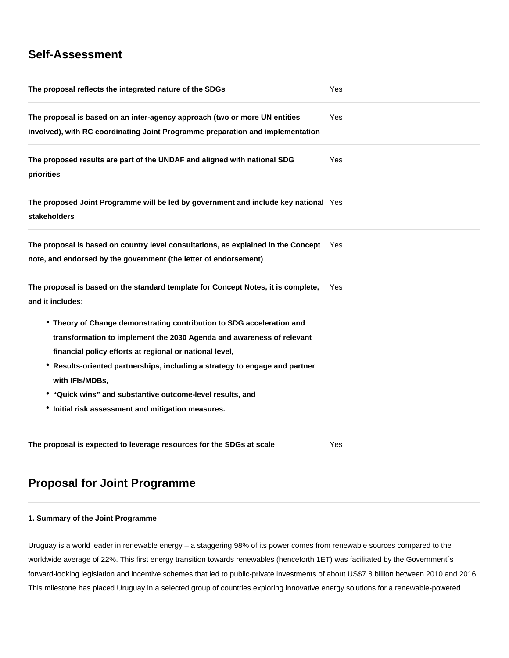## **Self-Assessment**

| The proposal reflects the integrated nature of the SDGs                                                                                                                                                                                                                                                                                                                                                                        | Yes        |  |
|--------------------------------------------------------------------------------------------------------------------------------------------------------------------------------------------------------------------------------------------------------------------------------------------------------------------------------------------------------------------------------------------------------------------------------|------------|--|
| The proposal is based on an inter-agency approach (two or more UN entities<br>involved), with RC coordinating Joint Programme preparation and implementation                                                                                                                                                                                                                                                                   | <b>Yes</b> |  |
| The proposed results are part of the UNDAF and aligned with national SDG<br>priorities                                                                                                                                                                                                                                                                                                                                         | Yes        |  |
| The proposed Joint Programme will be led by government and include key national Yes<br>stakeholders                                                                                                                                                                                                                                                                                                                            |            |  |
| The proposal is based on country level consultations, as explained in the Concept<br>note, and endorsed by the government (the letter of endorsement)                                                                                                                                                                                                                                                                          | Yes        |  |
| The proposal is based on the standard template for Concept Notes, it is complete,<br>and it includes:                                                                                                                                                                                                                                                                                                                          | Yes        |  |
| • Theory of Change demonstrating contribution to SDG acceleration and<br>transformation to implement the 2030 Agenda and awareness of relevant<br>financial policy efforts at regional or national level,<br>• Results-oriented partnerships, including a strategy to engage and partner<br>with IFIs/MDBs,<br>• "Quick wins" and substantive outcome-level results, and<br>• Initial risk assessment and mitigation measures. |            |  |
| The proposal is expected to leverage resources for the SDGs at scale                                                                                                                                                                                                                                                                                                                                                           | Yes        |  |

## **Proposal for Joint Programme**

## **1. Summary of the Joint Programme**

Uruguay is a world leader in renewable energy – a staggering 98% of its power comes from renewable sources compared to the worldwide average of 22%. This first energy transition towards renewables (henceforth 1ET) was facilitated by the Government´s forward-looking legislation and incentive schemes that led to public-private investments of about US\$7.8 billion between 2010 and 2016. This milestone has placed Uruguay in a selected group of countries exploring innovative energy solutions for a renewable-powered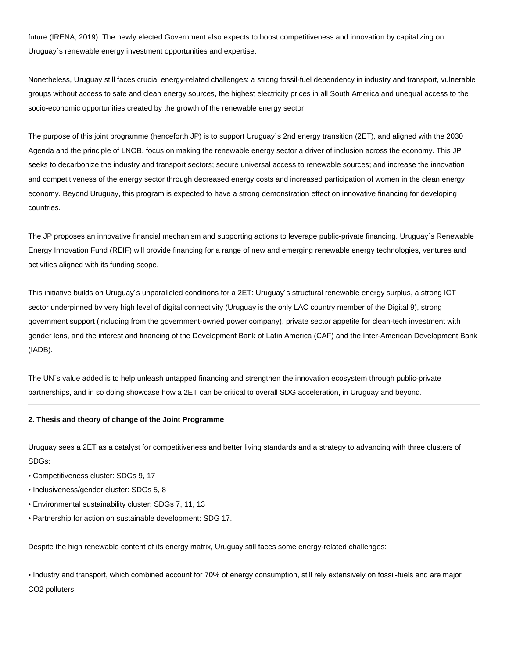future (IRENA, 2019). The newly elected Government also expects to boost competitiveness and innovation by capitalizing on Uruguay´s renewable energy investment opportunities and expertise.

Nonetheless, Uruguay still faces crucial energy-related challenges: a strong fossil-fuel dependency in industry and transport, vulnerable groups without access to safe and clean energy sources, the highest electricity prices in all South America and unequal access to the socio-economic opportunities created by the growth of the renewable energy sector.

The purpose of this joint programme (henceforth JP) is to support Uruguay´s 2nd energy transition (2ET), and aligned with the 2030 Agenda and the principle of LNOB, focus on making the renewable energy sector a driver of inclusion across the economy. This JP seeks to decarbonize the industry and transport sectors; secure universal access to renewable sources; and increase the innovation and competitiveness of the energy sector through decreased energy costs and increased participation of women in the clean energy economy. Beyond Uruguay, this program is expected to have a strong demonstration effect on innovative financing for developing countries.

The JP proposes an innovative financial mechanism and supporting actions to leverage public-private financing. Uruguay´s Renewable Energy Innovation Fund (REIF) will provide financing for a range of new and emerging renewable energy technologies, ventures and activities aligned with its funding scope.

This initiative builds on Uruguay´s unparalleled conditions for a 2ET: Uruguay´s structural renewable energy surplus, a strong ICT sector underpinned by very high level of digital connectivity (Uruguay is the only LAC country member of the Digital 9), strong government support (including from the government-owned power company), private sector appetite for clean-tech investment with gender lens, and the interest and financing of the Development Bank of Latin America (CAF) and the Inter-American Development Bank (IADB).

The UN´s value added is to help unleash untapped financing and strengthen the innovation ecosystem through public-private partnerships, and in so doing showcase how a 2ET can be critical to overall SDG acceleration, in Uruguay and beyond.

#### **2. Thesis and theory of change of the Joint Programme**

Uruguay sees a 2ET as a catalyst for competitiveness and better living standards and a strategy to advancing with three clusters of SDGs:

- Competitiveness cluster: SDGs 9, 17
- Inclusiveness/gender cluster: SDGs 5, 8
- Environmental sustainability cluster: SDGs 7, 11, 13
- Partnership for action on sustainable development: SDG 17.

Despite the high renewable content of its energy matrix, Uruguay still faces some energy-related challenges:

• Industry and transport, which combined account for 70% of energy consumption, still rely extensively on fossil-fuels and are major CO2 polluters;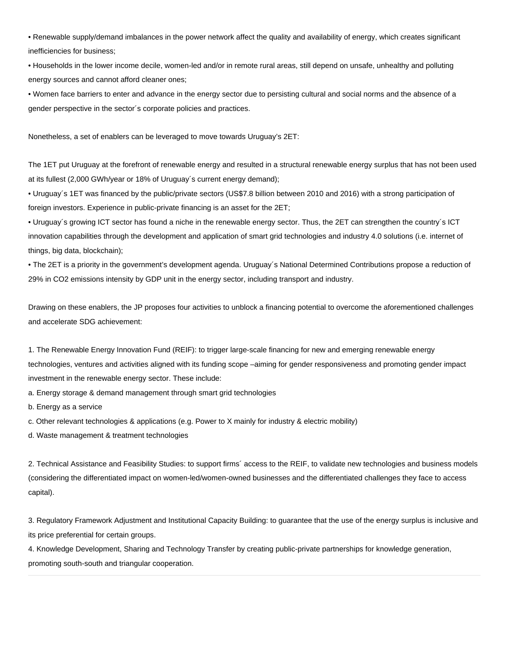• Renewable supply/demand imbalances in the power network affect the quality and availability of energy, which creates significant inefficiencies for business;

• Households in the lower income decile, women-led and/or in remote rural areas, still depend on unsafe, unhealthy and polluting energy sources and cannot afford cleaner ones;

• Women face barriers to enter and advance in the energy sector due to persisting cultural and social norms and the absence of a gender perspective in the sector´s corporate policies and practices.

Nonetheless, a set of enablers can be leveraged to move towards Uruguay's 2ET:

The 1ET put Uruguay at the forefront of renewable energy and resulted in a structural renewable energy surplus that has not been used at its fullest (2,000 GWh/year or 18% of Uruguay´s current energy demand);

• Uruguay´s 1ET was financed by the public/private sectors (US\$7.8 billion between 2010 and 2016) with a strong participation of foreign investors. Experience in public-private financing is an asset for the 2ET;

• Uruguay´s growing ICT sector has found a niche in the renewable energy sector. Thus, the 2ET can strengthen the country´s ICT innovation capabilities through the development and application of smart grid technologies and industry 4.0 solutions (i.e. internet of things, big data, blockchain);

• The 2ET is a priority in the government's development agenda. Uruguay´s National Determined Contributions propose a reduction of 29% in CO2 emissions intensity by GDP unit in the energy sector, including transport and industry.

Drawing on these enablers, the JP proposes four activities to unblock a financing potential to overcome the aforementioned challenges and accelerate SDG achievement:

1. The Renewable Energy Innovation Fund (REIF): to trigger large-scale financing for new and emerging renewable energy technologies, ventures and activities aligned with its funding scope –aiming for gender responsiveness and promoting gender impact investment in the renewable energy sector. These include:

a. Energy storage & demand management through smart grid technologies

b. Energy as a service

c. Other relevant technologies & applications (e.g. Power to X mainly for industry & electric mobility)

d. Waste management & treatment technologies

2. Technical Assistance and Feasibility Studies: to support firms´ access to the REIF, to validate new technologies and business models (considering the differentiated impact on women-led/women-owned businesses and the differentiated challenges they face to access capital).

3. Regulatory Framework Adjustment and Institutional Capacity Building: to guarantee that the use of the energy surplus is inclusive and its price preferential for certain groups.

4. Knowledge Development, Sharing and Technology Transfer by creating public-private partnerships for knowledge generation, promoting south-south and triangular cooperation.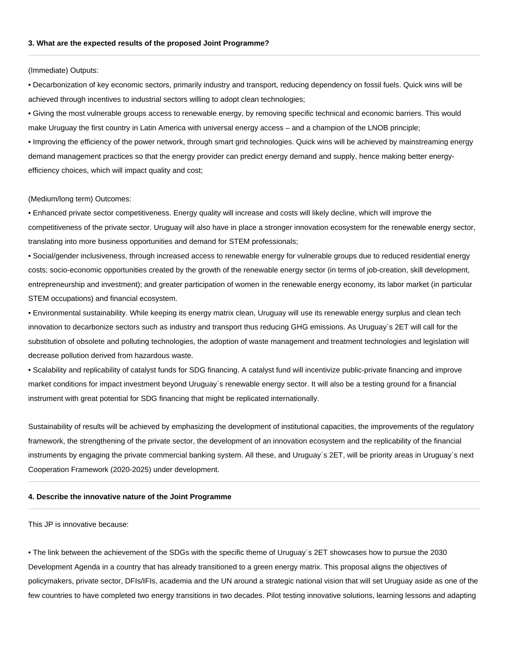#### (Immediate) Outputs:

• Decarbonization of key economic sectors, primarily industry and transport, reducing dependency on fossil fuels. Quick wins will be achieved through incentives to industrial sectors willing to adopt clean technologies;

• Giving the most vulnerable groups access to renewable energy, by removing specific technical and economic barriers. This would make Uruguay the first country in Latin America with universal energy access – and a champion of the LNOB principle;

• Improving the efficiency of the power network, through smart grid technologies. Quick wins will be achieved by mainstreaming energy demand management practices so that the energy provider can predict energy demand and supply, hence making better energyefficiency choices, which will impact quality and cost;

#### (Medium/long term) Outcomes:

• Enhanced private sector competitiveness. Energy quality will increase and costs will likely decline, which will improve the competitiveness of the private sector. Uruguay will also have in place a stronger innovation ecosystem for the renewable energy sector, translating into more business opportunities and demand for STEM professionals;

• Social/gender inclusiveness, through increased access to renewable energy for vulnerable groups due to reduced residential energy costs; socio-economic opportunities created by the growth of the renewable energy sector (in terms of job-creation, skill development, entrepreneurship and investment); and greater participation of women in the renewable energy economy, its labor market (in particular STEM occupations) and financial ecosystem.

• Environmental sustainability. While keeping its energy matrix clean, Uruguay will use its renewable energy surplus and clean tech innovation to decarbonize sectors such as industry and transport thus reducing GHG emissions. As Uruguay´s 2ET will call for the substitution of obsolete and polluting technologies, the adoption of waste management and treatment technologies and legislation will decrease pollution derived from hazardous waste.

• Scalability and replicability of catalyst funds for SDG financing. A catalyst fund will incentivize public-private financing and improve market conditions for impact investment beyond Uruguay´s renewable energy sector. It will also be a testing ground for a financial instrument with great potential for SDG financing that might be replicated internationally.

Sustainability of results will be achieved by emphasizing the development of institutional capacities, the improvements of the regulatory framework, the strengthening of the private sector, the development of an innovation ecosystem and the replicability of the financial instruments by engaging the private commercial banking system. All these, and Uruguay´s 2ET, will be priority areas in Uruguay´s next Cooperation Framework (2020-2025) under development.

#### **4. Describe the innovative nature of the Joint Programme**

This JP is innovative because:

• The link between the achievement of the SDGs with the specific theme of Uruguay´s 2ET showcases how to pursue the 2030 Development Agenda in a country that has already transitioned to a green energy matrix. This proposal aligns the objectives of policymakers, private sector, DFIs/IFIs, academia and the UN around a strategic national vision that will set Uruguay aside as one of the few countries to have completed two energy transitions in two decades. Pilot testing innovative solutions, learning lessons and adapting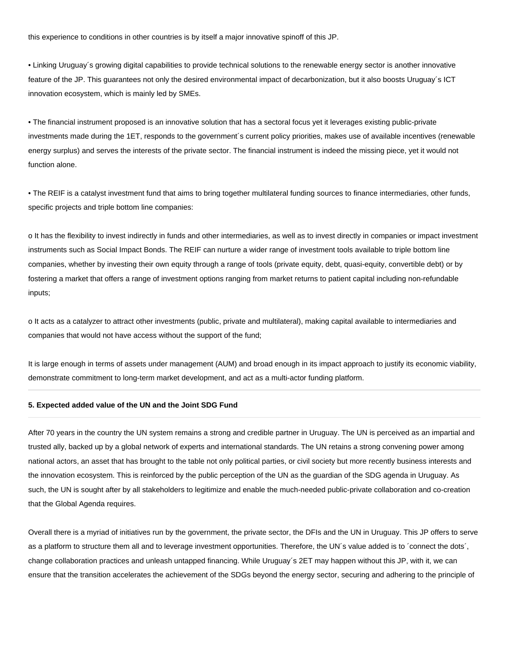this experience to conditions in other countries is by itself a major innovative spinoff of this JP.

• Linking Uruguay´s growing digital capabilities to provide technical solutions to the renewable energy sector is another innovative feature of the JP. This guarantees not only the desired environmental impact of decarbonization, but it also boosts Uruguay´s ICT innovation ecosystem, which is mainly led by SMEs.

• The financial instrument proposed is an innovative solution that has a sectoral focus yet it leverages existing public-private investments made during the 1ET, responds to the government´s current policy priorities, makes use of available incentives (renewable energy surplus) and serves the interests of the private sector. The financial instrument is indeed the missing piece, yet it would not function alone.

• The REIF is a catalyst investment fund that aims to bring together multilateral funding sources to finance intermediaries, other funds, specific projects and triple bottom line companies:

o It has the flexibility to invest indirectly in funds and other intermediaries, as well as to invest directly in companies or impact investment instruments such as Social Impact Bonds. The REIF can nurture a wider range of investment tools available to triple bottom line companies, whether by investing their own equity through a range of tools (private equity, debt, quasi-equity, convertible debt) or by fostering a market that offers a range of investment options ranging from market returns to patient capital including non-refundable inputs;

o It acts as a catalyzer to attract other investments (public, private and multilateral), making capital available to intermediaries and companies that would not have access without the support of the fund;

It is large enough in terms of assets under management (AUM) and broad enough in its impact approach to justify its economic viability, demonstrate commitment to long-term market development, and act as a multi-actor funding platform.

#### **5. Expected added value of the UN and the Joint SDG Fund**

After 70 years in the country the UN system remains a strong and credible partner in Uruguay. The UN is perceived as an impartial and trusted ally, backed up by a global network of experts and international standards. The UN retains a strong convening power among national actors, an asset that has brought to the table not only political parties, or civil society but more recently business interests and the innovation ecosystem. This is reinforced by the public perception of the UN as the guardian of the SDG agenda in Uruguay. As such, the UN is sought after by all stakeholders to legitimize and enable the much-needed public-private collaboration and co-creation that the Global Agenda requires.

Overall there is a myriad of initiatives run by the government, the private sector, the DFIs and the UN in Uruguay. This JP offers to serve as a platform to structure them all and to leverage investment opportunities. Therefore, the UN´s value added is to ´connect the dots´, change collaboration practices and unleash untapped financing. While Uruguay´s 2ET may happen without this JP, with it, we can ensure that the transition accelerates the achievement of the SDGs beyond the energy sector, securing and adhering to the principle of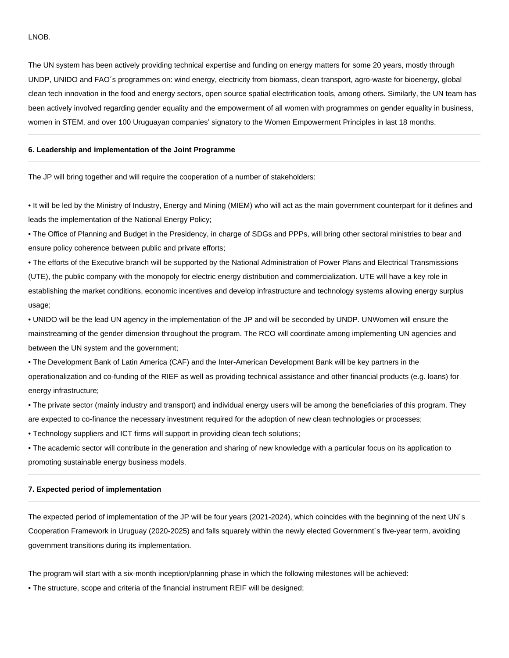#### LNOB.

The UN system has been actively providing technical expertise and funding on energy matters for some 20 years, mostly through UNDP, UNIDO and FAO´s programmes on: wind energy, electricity from biomass, clean transport, agro-waste for bioenergy, global clean tech innovation in the food and energy sectors, open source spatial electrification tools, among others. Similarly, the UN team has been actively involved regarding gender equality and the empowerment of all women with programmes on gender equality in business, women in STEM, and over 100 Uruguayan companies' signatory to the Women Empowerment Principles in last 18 months.

#### **6. Leadership and implementation of the Joint Programme**

The JP will bring together and will require the cooperation of a number of stakeholders:

• It will be led by the Ministry of Industry, Energy and Mining (MIEM) who will act as the main government counterpart for it defines and leads the implementation of the National Energy Policy;

• The Office of Planning and Budget in the Presidency, in charge of SDGs and PPPs, will bring other sectoral ministries to bear and ensure policy coherence between public and private efforts;

• The efforts of the Executive branch will be supported by the National Administration of Power Plans and Electrical Transmissions (UTE), the public company with the monopoly for electric energy distribution and commercialization. UTE will have a key role in establishing the market conditions, economic incentives and develop infrastructure and technology systems allowing energy surplus usage;

• UNIDO will be the lead UN agency in the implementation of the JP and will be seconded by UNDP. UNWomen will ensure the mainstreaming of the gender dimension throughout the program. The RCO will coordinate among implementing UN agencies and between the UN system and the government;

• The Development Bank of Latin America (CAF) and the Inter-American Development Bank will be key partners in the operationalization and co-funding of the RIEF as well as providing technical assistance and other financial products (e.g. loans) for energy infrastructure;

• The private sector (mainly industry and transport) and individual energy users will be among the beneficiaries of this program. They are expected to co-finance the necessary investment required for the adoption of new clean technologies or processes;

• Technology suppliers and ICT firms will support in providing clean tech solutions;

• The academic sector will contribute in the generation and sharing of new knowledge with a particular focus on its application to promoting sustainable energy business models.

#### **7. Expected period of implementation**

The expected period of implementation of the JP will be four years (2021-2024), which coincides with the beginning of the next UN´s Cooperation Framework in Uruguay (2020-2025) and falls squarely within the newly elected Government´s five-year term, avoiding government transitions during its implementation.

The program will start with a six-month inception/planning phase in which the following milestones will be achieved:

• The structure, scope and criteria of the financial instrument REIF will be designed;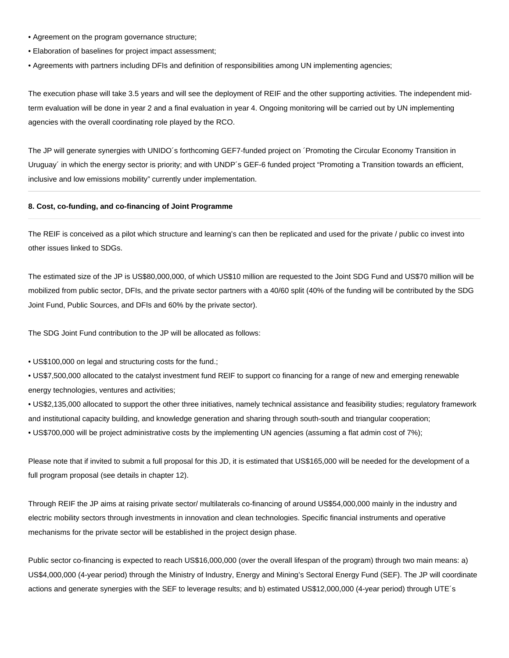- Agreement on the program governance structure;
- Elaboration of baselines for project impact assessment;
- Agreements with partners including DFIs and definition of responsibilities among UN implementing agencies;

The execution phase will take 3.5 years and will see the deployment of REIF and the other supporting activities. The independent midterm evaluation will be done in year 2 and a final evaluation in year 4. Ongoing monitoring will be carried out by UN implementing agencies with the overall coordinating role played by the RCO.

The JP will generate synergies with UNIDO´s forthcoming GEF7-funded project on ´Promoting the Circular Economy Transition in Uruguay´ in which the energy sector is priority; and with UNDP´s GEF-6 funded project "Promoting a Transition towards an efficient, inclusive and low emissions mobility" currently under implementation.

#### **8. Cost, co-funding, and co-financing of Joint Programme**

The REIF is conceived as a pilot which structure and learning's can then be replicated and used for the private / public co invest into other issues linked to SDGs.

The estimated size of the JP is US\$80,000,000, of which US\$10 million are requested to the Joint SDG Fund and US\$70 million will be mobilized from public sector, DFIs, and the private sector partners with a 40/60 split (40% of the funding will be contributed by the SDG Joint Fund, Public Sources, and DFIs and 60% by the private sector).

The SDG Joint Fund contribution to the JP will be allocated as follows:

• US\$100,000 on legal and structuring costs for the fund.;

• US\$7,500,000 allocated to the catalyst investment fund REIF to support co financing for a range of new and emerging renewable energy technologies, ventures and activities;

• US\$2,135,000 allocated to support the other three initiatives, namely technical assistance and feasibility studies; regulatory framework and institutional capacity building, and knowledge generation and sharing through south-south and triangular cooperation;

• US\$700,000 will be project administrative costs by the implementing UN agencies (assuming a flat admin cost of 7%);

Please note that if invited to submit a full proposal for this JD, it is estimated that US\$165,000 will be needed for the development of a full program proposal (see details in chapter 12).

Through REIF the JP aims at raising private sector/ multilaterals co-financing of around US\$54,000,000 mainly in the industry and electric mobility sectors through investments in innovation and clean technologies. Specific financial instruments and operative mechanisms for the private sector will be established in the project design phase.

Public sector co-financing is expected to reach US\$16,000,000 (over the overall lifespan of the program) through two main means: a) US\$4,000,000 (4-year period) through the Ministry of Industry, Energy and Mining's Sectoral Energy Fund (SEF). The JP will coordinate actions and generate synergies with the SEF to leverage results; and b) estimated US\$12,000,000 (4-year period) through UTE´s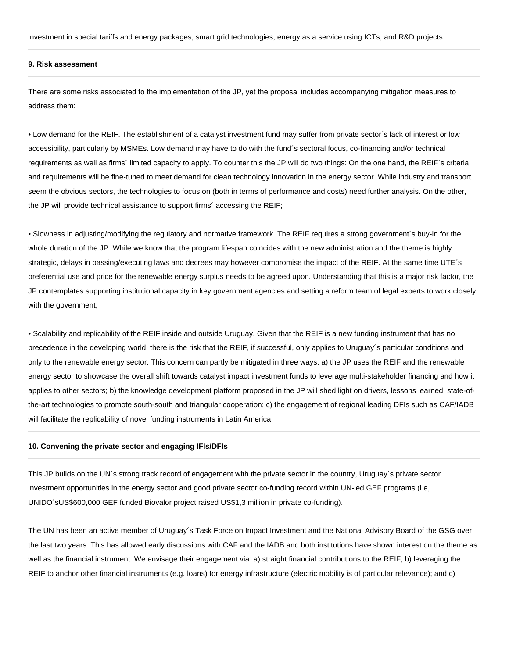investment in special tariffs and energy packages, smart grid technologies, energy as a service using ICTs, and R&D projects.

#### **9. Risk assessment**

There are some risks associated to the implementation of the JP, yet the proposal includes accompanying mitigation measures to address them:

• Low demand for the REIF. The establishment of a catalyst investment fund may suffer from private sector´s lack of interest or low accessibility, particularly by MSMEs. Low demand may have to do with the fund´s sectoral focus, co-financing and/or technical requirements as well as firms´ limited capacity to apply. To counter this the JP will do two things: On the one hand, the REIF´s criteria and requirements will be fine-tuned to meet demand for clean technology innovation in the energy sector. While industry and transport seem the obvious sectors, the technologies to focus on (both in terms of performance and costs) need further analysis. On the other, the JP will provide technical assistance to support firms´ accessing the REIF;

• Slowness in adjusting/modifying the regulatory and normative framework. The REIF requires a strong government´s buy-in for the whole duration of the JP. While we know that the program lifespan coincides with the new administration and the theme is highly strategic, delays in passing/executing laws and decrees may however compromise the impact of the REIF. At the same time UTE´s preferential use and price for the renewable energy surplus needs to be agreed upon. Understanding that this is a major risk factor, the JP contemplates supporting institutional capacity in key government agencies and setting a reform team of legal experts to work closely with the government;

• Scalability and replicability of the REIF inside and outside Uruguay. Given that the REIF is a new funding instrument that has no precedence in the developing world, there is the risk that the REIF, if successful, only applies to Uruguay´s particular conditions and only to the renewable energy sector. This concern can partly be mitigated in three ways: a) the JP uses the REIF and the renewable energy sector to showcase the overall shift towards catalyst impact investment funds to leverage multi-stakeholder financing and how it applies to other sectors; b) the knowledge development platform proposed in the JP will shed light on drivers, lessons learned, state-ofthe-art technologies to promote south-south and triangular cooperation; c) the engagement of regional leading DFIs such as CAF/IADB will facilitate the replicability of novel funding instruments in Latin America;

#### **10. Convening the private sector and engaging IFIs/DFIs**

This JP builds on the UN´s strong track record of engagement with the private sector in the country, Uruguay´s private sector investment opportunities in the energy sector and good private sector co-funding record within UN-led GEF programs (i.e, UNIDO´sUS\$600,000 GEF funded Biovalor project raised US\$1,3 million in private co-funding).

The UN has been an active member of Uruguay´s Task Force on Impact Investment and the National Advisory Board of the GSG over the last two years. This has allowed early discussions with CAF and the IADB and both institutions have shown interest on the theme as well as the financial instrument. We envisage their engagement via: a) straight financial contributions to the REIF; b) leveraging the REIF to anchor other financial instruments (e.g. loans) for energy infrastructure (electric mobility is of particular relevance); and c)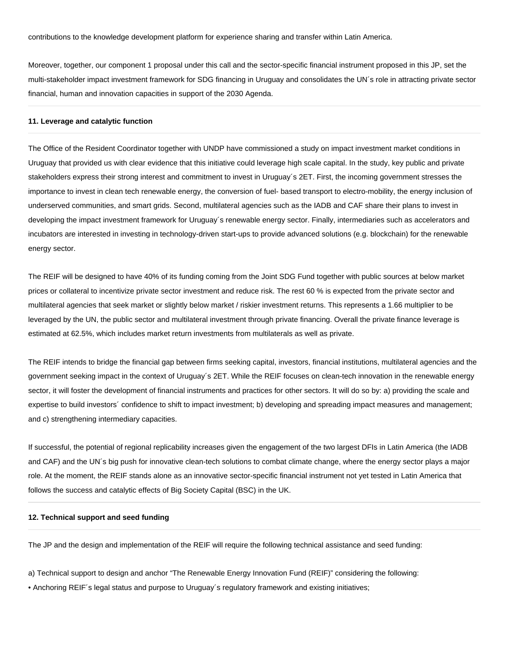Moreover, together, our component 1 proposal under this call and the sector-specific financial instrument proposed in this JP, set the multi-stakeholder impact investment framework for SDG financing in Uruguay and consolidates the UN´s role in attracting private sector financial, human and innovation capacities in support of the 2030 Agenda.

#### **11. Leverage and catalytic function**

The Office of the Resident Coordinator together with UNDP have commissioned a study on impact investment market conditions in Uruguay that provided us with clear evidence that this initiative could leverage high scale capital. In the study, key public and private stakeholders express their strong interest and commitment to invest in Uruguay´s 2ET. First, the incoming government stresses the importance to invest in clean tech renewable energy, the conversion of fuel- based transport to electro-mobility, the energy inclusion of underserved communities, and smart grids. Second, multilateral agencies such as the IADB and CAF share their plans to invest in developing the impact investment framework for Uruguay´s renewable energy sector. Finally, intermediaries such as accelerators and incubators are interested in investing in technology-driven start-ups to provide advanced solutions (e.g. blockchain) for the renewable energy sector.

The REIF will be designed to have 40% of its funding coming from the Joint SDG Fund together with public sources at below market prices or collateral to incentivize private sector investment and reduce risk. The rest 60 % is expected from the private sector and multilateral agencies that seek market or slightly below market / riskier investment returns. This represents a 1.66 multiplier to be leveraged by the UN, the public sector and multilateral investment through private financing. Overall the private finance leverage is estimated at 62.5%, which includes market return investments from multilaterals as well as private.

The REIF intends to bridge the financial gap between firms seeking capital, investors, financial institutions, multilateral agencies and the government seeking impact in the context of Uruguay´s 2ET. While the REIF focuses on clean-tech innovation in the renewable energy sector, it will foster the development of financial instruments and practices for other sectors. It will do so by: a) providing the scale and expertise to build investors´ confidence to shift to impact investment; b) developing and spreading impact measures and management; and c) strengthening intermediary capacities.

If successful, the potential of regional replicability increases given the engagement of the two largest DFIs in Latin America (the IADB and CAF) and the UN´s big push for innovative clean-tech solutions to combat climate change, where the energy sector plays a major role. At the moment, the REIF stands alone as an innovative sector-specific financial instrument not yet tested in Latin America that follows the success and catalytic effects of Big Society Capital (BSC) in the UK.

#### **12. Technical support and seed funding**

The JP and the design and implementation of the REIF will require the following technical assistance and seed funding:

a) Technical support to design and anchor "The Renewable Energy Innovation Fund (REIF)" considering the following:

• Anchoring REIF´s legal status and purpose to Uruguay´s regulatory framework and existing initiatives;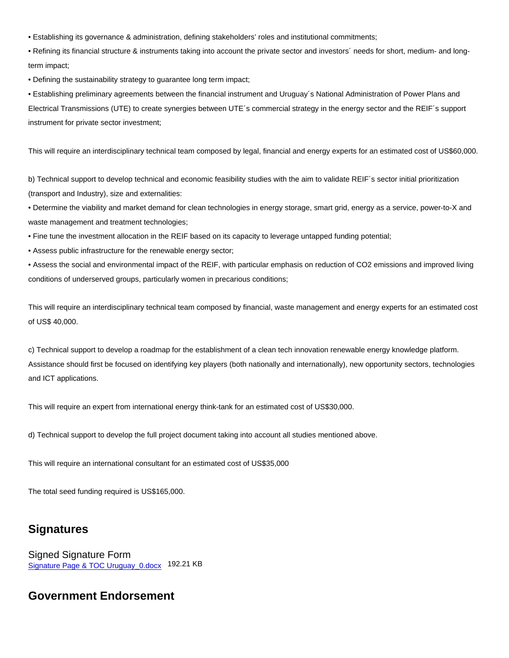• Establishing its governance & administration, defining stakeholders' roles and institutional commitments;

• Refining its financial structure & instruments taking into account the private sector and investors´ needs for short, medium- and longterm impact;

• Defining the sustainability strategy to guarantee long term impact;

• Establishing preliminary agreements between the financial instrument and Uruguay´s National Administration of Power Plans and Electrical Transmissions (UTE) to create synergies between UTE´s commercial strategy in the energy sector and the REIF´s support instrument for private sector investment;

This will require an interdisciplinary technical team composed by legal, financial and energy experts for an estimated cost of US\$60,000.

b) Technical support to develop technical and economic feasibility studies with the aim to validate REIF's sector initial prioritization (transport and Industry), size and externalities:

• Determine the viability and market demand for clean technologies in energy storage, smart grid, energy as a service, power-to-X and waste management and treatment technologies;

- Fine tune the investment allocation in the REIF based on its capacity to leverage untapped funding potential;
- Assess public infrastructure for the renewable energy sector;

• Assess the social and environmental impact of the REIF, with particular emphasis on reduction of CO2 emissions and improved living conditions of underserved groups, particularly women in precarious conditions;

This will require an interdisciplinary technical team composed by financial, waste management and energy experts for an estimated cost of US\$ 40,000.

c) Technical support to develop a roadmap for the establishment of a clean tech innovation renewable energy knowledge platform. Assistance should first be focused on identifying key players (both nationally and internationally), new opportunity sectors, technologies and ICT applications.

This will require an expert from international energy think-tank for an estimated cost of US\$30,000.

d) Technical support to develop the full project document taking into account all studies mentioned above.

This will require an international consultant for an estimated cost of US\$35,000

The total seed funding required is US\$165,000.

## Signatures

Signed Signature Form [Signature Page & TOC Uruguay\\_0.docx](https://sdgfinancing.jointsdgfund.org/system/files/2020-03/Signature Page & TOC Uruguay_0.docx) 192.21 KB

## Government Endorsement